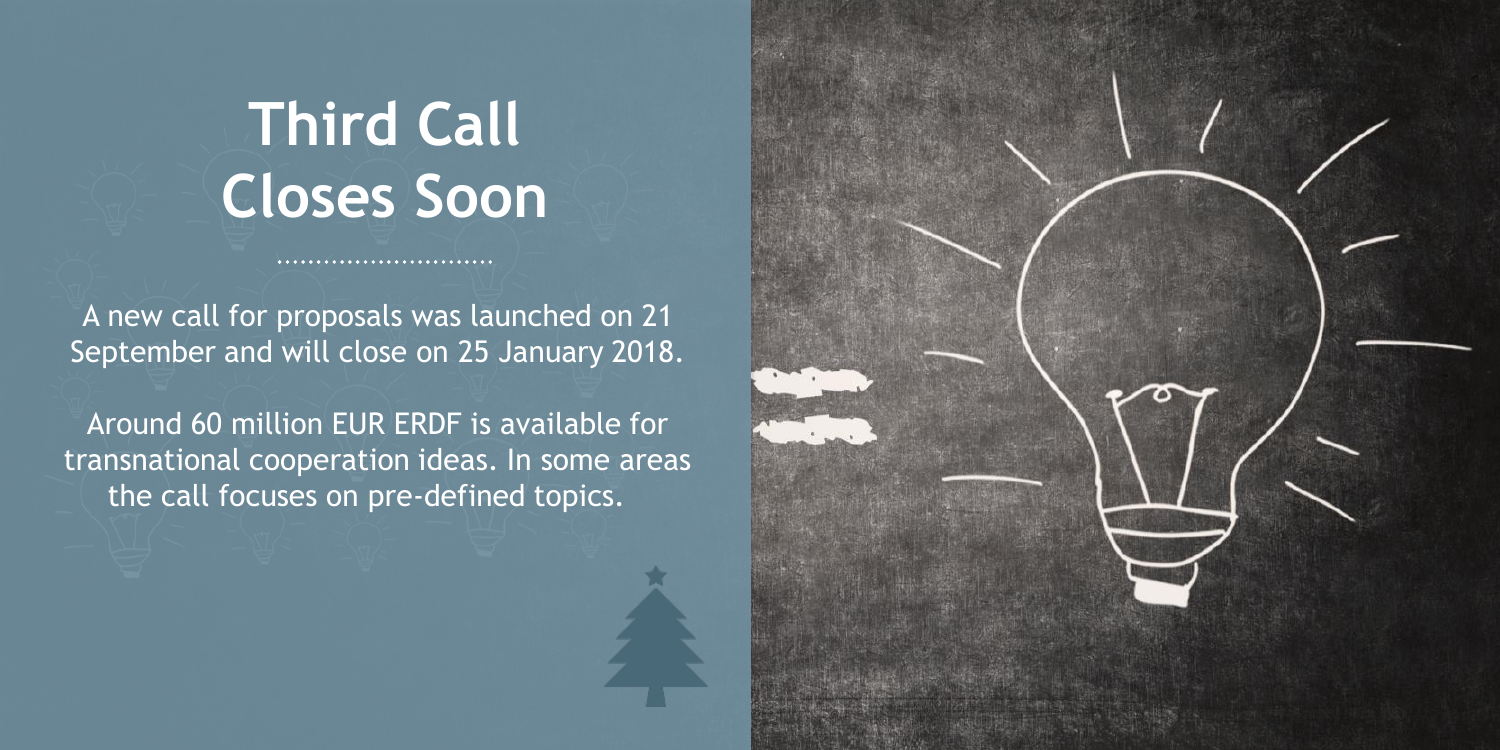#### **Third Call Closes Soon**

A new call for proposals was launched on 21 September and will close on 25 January 2018.

Around 60 million EUR ERDF is available for transnational cooperation ideas. In some areas the call focuses on pre-defined topics.

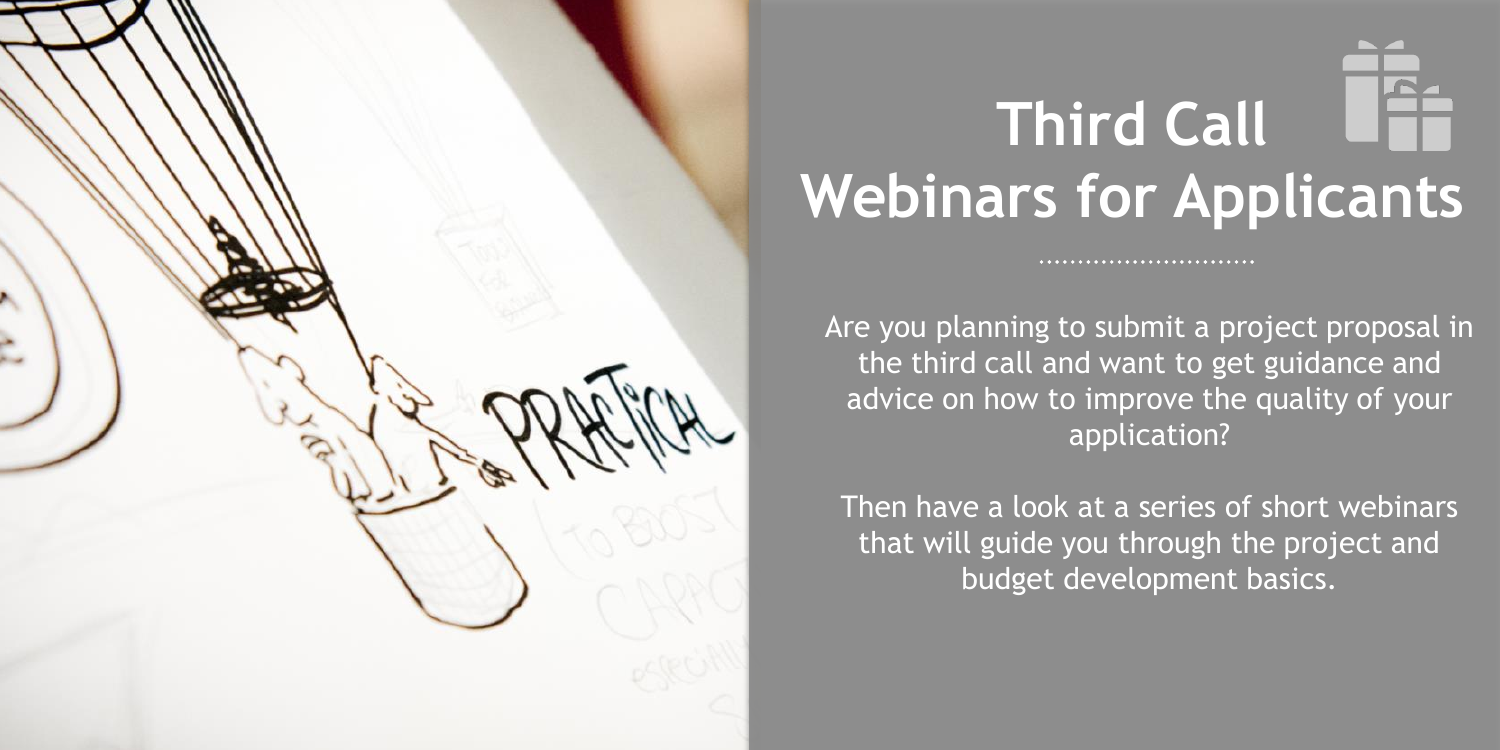

# **Third Call Webinars for Applicants**

Are you planning to submit a project proposal in the third call and want to get guidance and advice on how to improve the quality of your application?

Then have a look at a series of short webinars that will guide you through the project and budget development basics.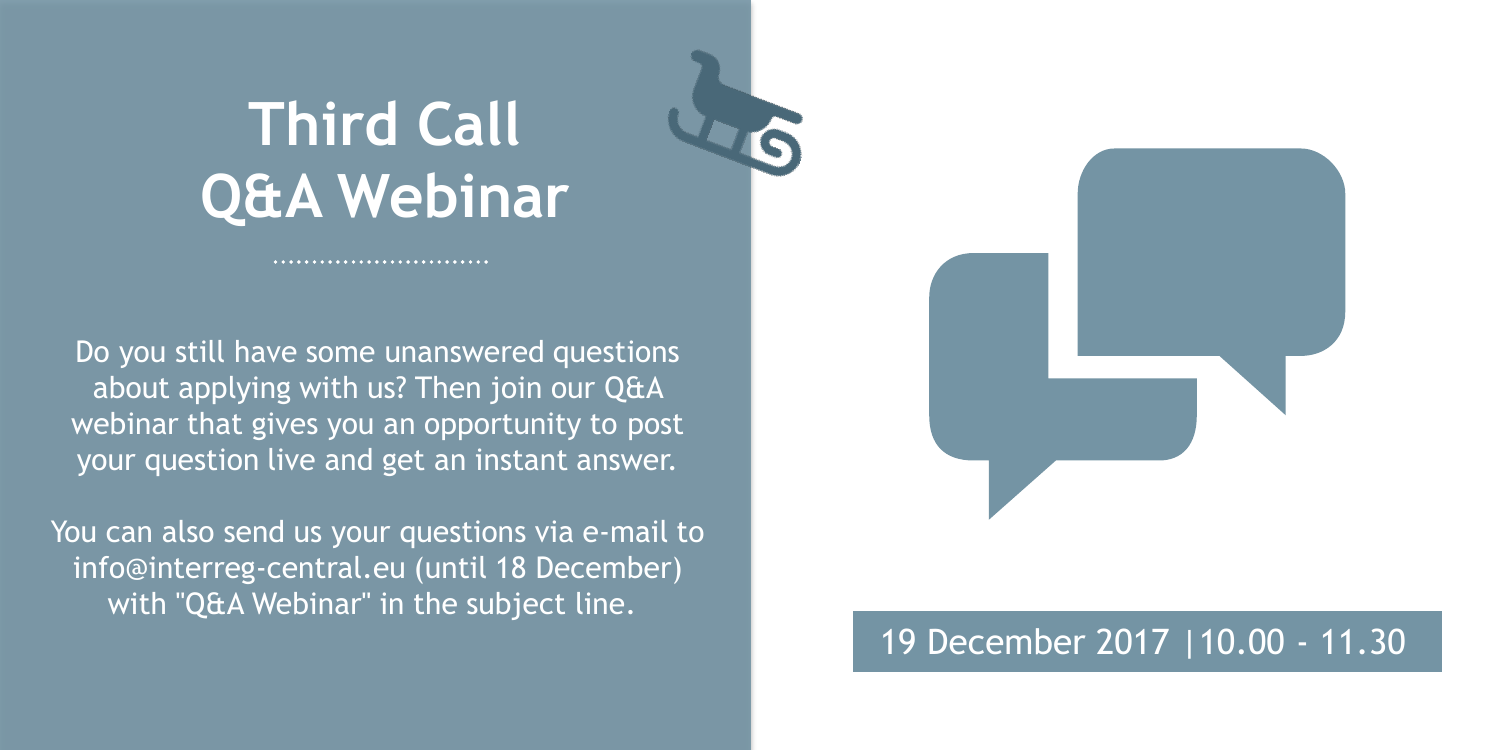### **Third Call Q&A Webinar**

............................

Do you still have some unanswered questions about applying with us? Then join our Q&A webinar that gives you an opportunity to post your question live and get an instant answer.

You can also send us your questions via e-mail to info@interreg-central.eu (until 18 December) with "Q&A Webinar" in the subject line.

#### 19 December 2017 |10.00 - 11.30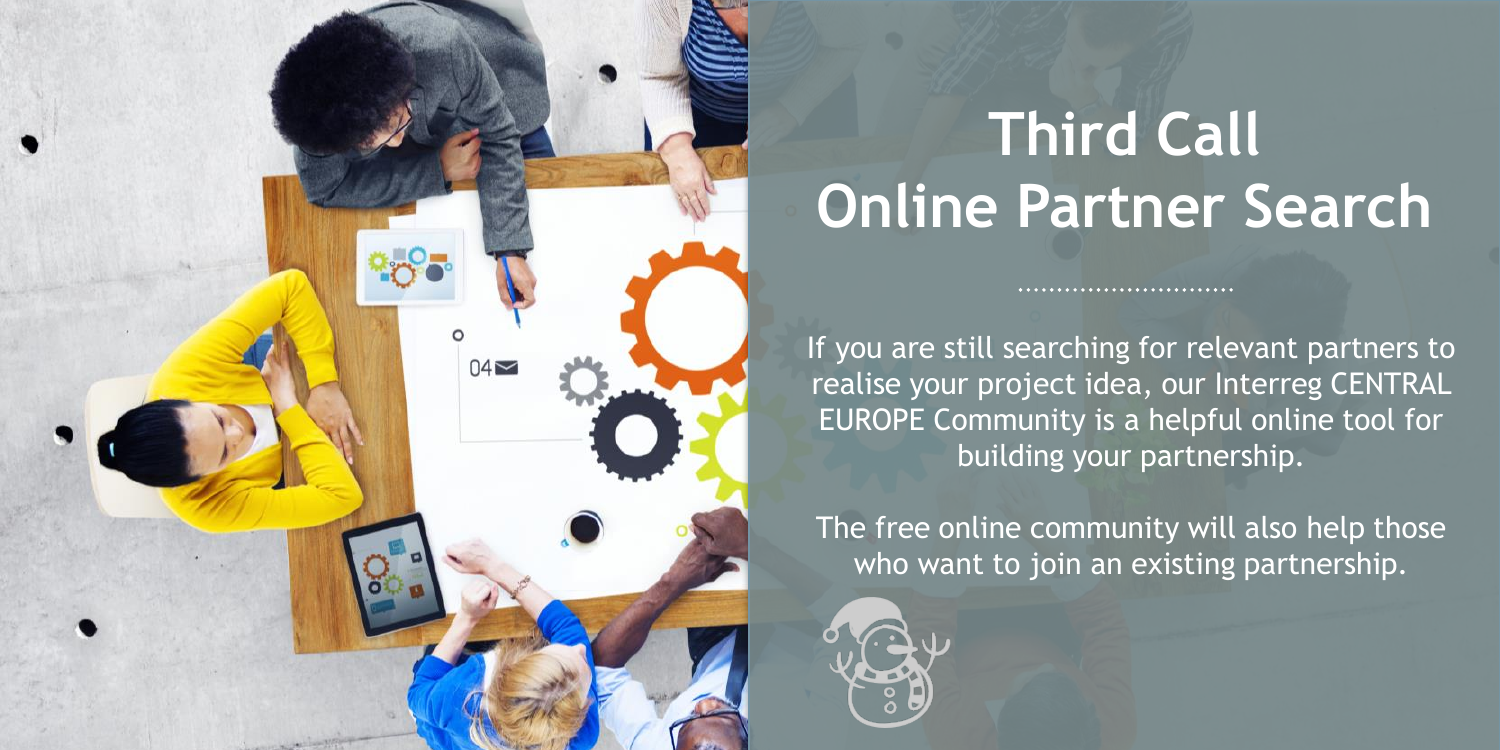## **Third Call Online Partner Search**

If you are still searching for relevant partners to realise your project idea, our Interreg CENTRAL EUROPE Community is a helpful online tool for building your partnership.

 $04\approx$ 

...........................

The free online community will also help those who want to join an existing partnership.